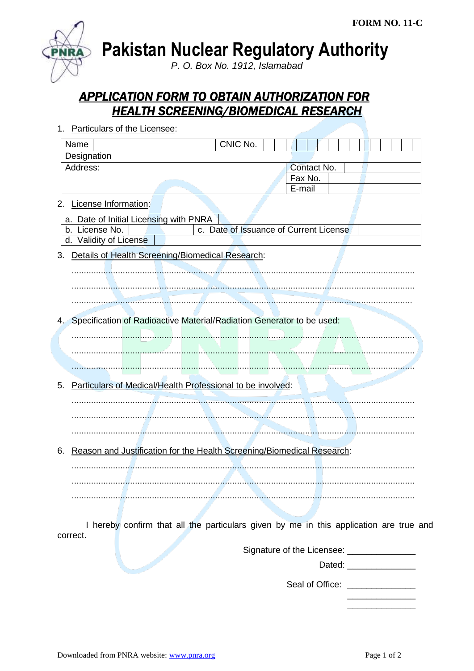

**Pakistan Nuclear Regulatory Authority** 

P. O. Box No. 1912, Islamabad

## **APPLICATION FORM TO OBTAIN AUTHORIZATION FOR HEALTH SCREENING/BIOMEDICAL RESEARCH**

| Particulars of the Licensee:<br>1.                               |                                                                                        |  |
|------------------------------------------------------------------|----------------------------------------------------------------------------------------|--|
|                                                                  | CNIC No.<br>Name                                                                       |  |
|                                                                  | Designation                                                                            |  |
|                                                                  | Address:<br>Contact No.                                                                |  |
|                                                                  | Fax No.                                                                                |  |
|                                                                  | E-mail                                                                                 |  |
| 2.                                                               | License Information:                                                                   |  |
|                                                                  | a. Date of Initial Licensing with PNRA                                                 |  |
|                                                                  | c. Date of Issuance of Current License<br>b. License No.                               |  |
|                                                                  | d. Validity of License                                                                 |  |
| Details of Health Screening/Biomedical Research:<br>3.           |                                                                                        |  |
|                                                                  |                                                                                        |  |
|                                                                  |                                                                                        |  |
|                                                                  |                                                                                        |  |
|                                                                  |                                                                                        |  |
| 4.                                                               | Specification of Radioactive Material/Radiation Generator to be used:                  |  |
|                                                                  |                                                                                        |  |
|                                                                  |                                                                                        |  |
|                                                                  |                                                                                        |  |
|                                                                  |                                                                                        |  |
|                                                                  |                                                                                        |  |
| Particulars of Medical/Health Professional to be involved:<br>5. |                                                                                        |  |
|                                                                  |                                                                                        |  |
|                                                                  |                                                                                        |  |
|                                                                  |                                                                                        |  |
|                                                                  |                                                                                        |  |
| 6.                                                               | Reason and Justification for the Health Screening/Biomedical Research:                 |  |
|                                                                  |                                                                                        |  |
|                                                                  |                                                                                        |  |
|                                                                  |                                                                                        |  |
|                                                                  |                                                                                        |  |
|                                                                  |                                                                                        |  |
|                                                                  |                                                                                        |  |
|                                                                  | I hereby confirm that all the particulars given by me in this application are true and |  |
|                                                                  | correct.                                                                               |  |

Signature of the Licensee: \_\_\_\_\_\_\_\_\_\_\_\_\_\_\_\_\_

Dated: **Example 2019** 

Seal of Office: \_\_\_\_\_\_\_\_\_\_\_\_\_\_